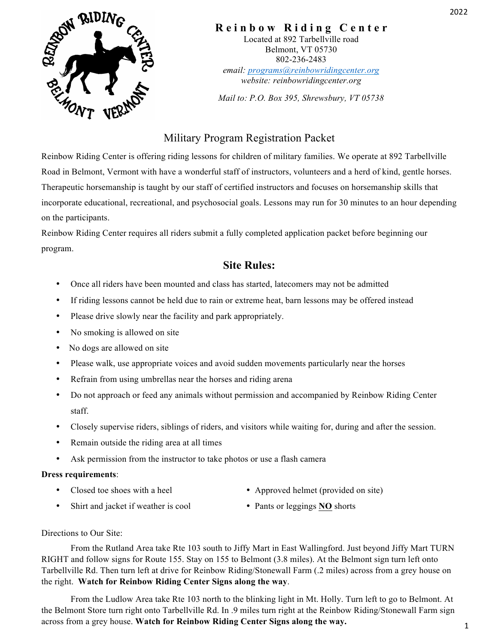

**R e i n b o w R i d i n g C e n t e r** Located at 892 Tarbellville road Belmont, VT 05730 802-236-2483 *email: programs@reinbowridingcenter.org website: reinbowridingcenter.org*

*Mail to: P.O. Box 395, Shrewsbury, VT 05738*

# Military Program Registration Packet

Reinbow Riding Center is offering riding lessons for children of military families. We operate at 892 Tarbellville Road in Belmont, Vermont with have a wonderful staff of instructors, volunteers and a herd of kind, gentle horses. Therapeutic horsemanship is taught by our staff of certified instructors and focuses on horsemanship skills that incorporate educational, recreational, and psychosocial goals. Lessons may run for 30 minutes to an hour depending on the participants.

Reinbow Riding Center requires all riders submit a fully completed application packet before beginning our program.

### **Site Rules:**

- Once all riders have been mounted and class has started, latecomers may not be admitted
- If riding lessons cannot be held due to rain or extreme heat, barn lessons may be offered instead
- Please drive slowly near the facility and park appropriately.
- No smoking is allowed on site
- No dogs are allowed on site
- Please walk, use appropriate voices and avoid sudden movements particularly near the horses
- Refrain from using umbrellas near the horses and riding arena
- Do not approach or feed any animals without permission and accompanied by Reinbow Riding Center staff.
- Closely supervise riders, siblings of riders, and visitors while waiting for, during and after the session.
- Remain outside the riding area at all times
- Ask permission from the instructor to take photos or use a flash camera

#### **Dress requirements**:

- 
- Closed toe shoes with a heel **•** Approved helmet (provided on site)
- Shirt and jacket if weather is cool **•** Pants or leggings **NO** shorts
- 

#### Directions to Our Site:

From the Rutland Area take Rte 103 south to Jiffy Mart in East Wallingford. Just beyond Jiffy Mart TURN RIGHT and follow signs for Route 155. Stay on 155 to Belmont (3.8 miles). At the Belmont sign turn left onto Tarbellville Rd. Then turn left at drive for Reinbow Riding/Stonewall Farm (.2 miles) across from a grey house on the right. **Watch for Reinbow Riding Center Signs along the way**.

From the Ludlow Area take Rte 103 north to the blinking light in Mt. Holly. Turn left to go to Belmont. At the Belmont Store turn right onto Tarbellville Rd. In .9 miles turn right at the Reinbow Riding/Stonewall Farm sign across from a grey house. **Watch for Reinbow Riding Center Signs along the way.**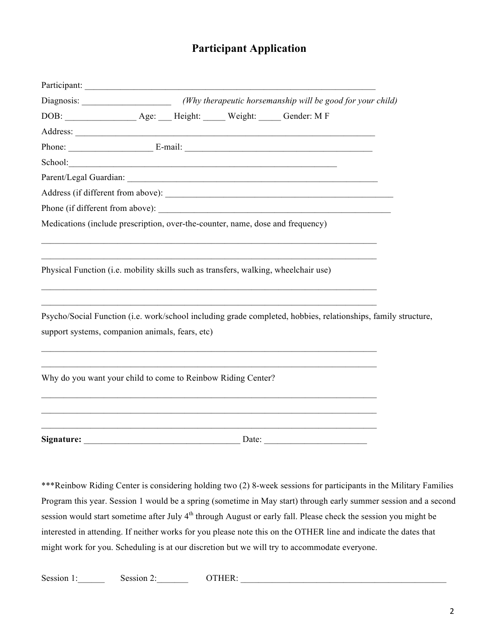# **Participant Application**

| School:                                                                                                                                                                                                                                                                                                                                                              |  |
|----------------------------------------------------------------------------------------------------------------------------------------------------------------------------------------------------------------------------------------------------------------------------------------------------------------------------------------------------------------------|--|
|                                                                                                                                                                                                                                                                                                                                                                      |  |
|                                                                                                                                                                                                                                                                                                                                                                      |  |
|                                                                                                                                                                                                                                                                                                                                                                      |  |
| Medications (include prescription, over-the-counter, name, dose and frequency)                                                                                                                                                                                                                                                                                       |  |
| Physical Function (i.e. mobility skills such as transfers, walking, wheelchair use)                                                                                                                                                                                                                                                                                  |  |
| Psycho/Social Function (i.e. work/school including grade completed, hobbies, relationships, family structure,<br>support systems, companion animals, fears, etc)                                                                                                                                                                                                     |  |
| Why do you want your child to come to Reinbow Riding Center?                                                                                                                                                                                                                                                                                                         |  |
| Signature:<br>Date:                                                                                                                                                                                                                                                                                                                                                  |  |
| ***Reinbow Riding Center is considering holding two (2) 8-week sessions for participants in the Military Families<br>Program this year. Session 1 would be a spring (sometime in May start) through early summer session and a second<br>session would start sometime after July 4 <sup>th</sup> through August or early fall. Please check the session you might be |  |

might work for you. Scheduling is at our discretion but we will try to accommodate everyone.

interested in attending. If neither works for you please note this on the OTHER line and indicate the dates that

Session 1:\_\_\_\_\_\_ Session 2:\_\_\_\_\_\_\_ OTHER: \_\_\_\_\_\_\_\_\_\_\_\_\_\_\_\_\_\_\_\_\_\_\_\_\_\_\_\_\_\_\_\_\_\_\_\_\_\_\_\_\_\_\_\_\_\_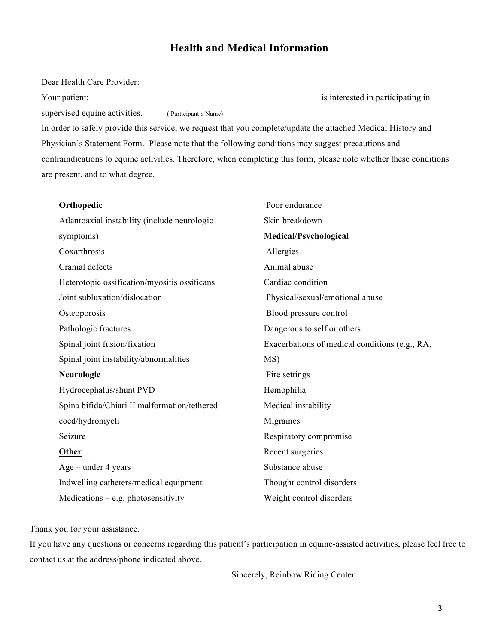## **Health and Medical Information**

Dear Health Care Provider:

Your patient: \_\_\_\_\_\_\_\_\_\_\_\_\_\_\_\_\_\_\_\_\_\_\_\_\_\_\_\_\_\_\_\_\_\_\_\_\_\_\_\_\_\_\_\_\_\_\_\_\_\_\_ is interested in participating in

supervised equine activities. (Participant's Name)

In order to safely provide this service, we request that you complete/update the attached Medical History and Physician's Statement Form. Please note that the following conditions may suggest precautions and contraindications to equine activities. Therefore, when completing this form, please note whether these conditions are present, and to what degree.

| <b>Orthopedic</b>                            | Poor endurance                                 |
|----------------------------------------------|------------------------------------------------|
| Atlantoaxial instability (include neurologic | Skin breakdown                                 |
| symptoms)                                    | <b>Medical/Psychological</b>                   |
| Coxarthrosis                                 | Allergies                                      |
| Cranial defects                              | Animal abuse                                   |
| Heterotopic ossification/myositis ossificans | Cardiac condition                              |
| Joint subluxation/dislocation                | Physical/sexual/emotional abuse                |
| Osteoporosis                                 | Blood pressure control                         |
| Pathologic fractures                         | Dangerous to self or others                    |
| Spinal joint fusion/fixation                 | Exacerbations of medical conditions (e.g., RA, |
| Spinal joint instability/abnormalities       | MS)                                            |
| Neurologic                                   | Fire settings                                  |
| Hydrocephalus/shunt PVD                      | Hemophilia                                     |
| Spina bifida/Chiari II malformation/tethered | Medical instability                            |
| coed/hydromyeli                              | Migraines                                      |
| Seizure                                      | Respiratory compromise                         |
| Other                                        | Recent surgeries                               |
| $Age$ – under 4 years                        | Substance abuse                                |
| Indwelling catheters/medical equipment       | Thought control disorders                      |
| $Medications - e.g. photosensitivity$        | Weight control disorders                       |

Thank you for your assistance.

If you have any questions or concerns regarding this patient's participation in equine-assisted activities, please feel free to contact us at the address/phone indicated above.

Sincerely, Reinbow Riding Center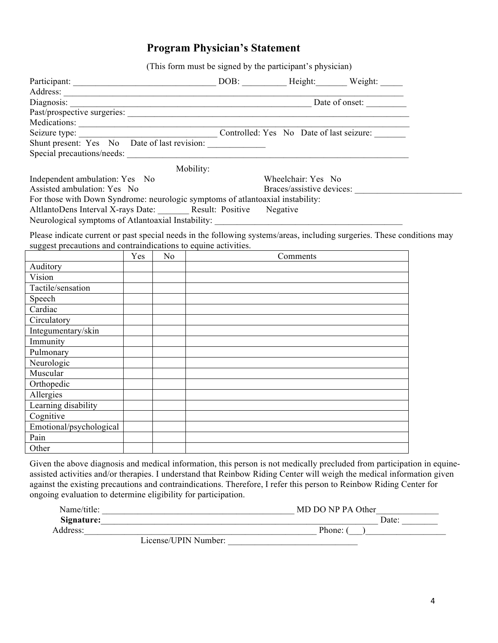#### **Program Physician's Statement**

(This form must be signed by the participant's physician)

|                                                                                | DOB:                                     | Height:                   | Weight:        |
|--------------------------------------------------------------------------------|------------------------------------------|---------------------------|----------------|
| Address:                                                                       |                                          |                           |                |
| Diagnosis:                                                                     |                                          |                           | Date of onset: |
| Past/prospective surgeries:                                                    |                                          |                           |                |
| Medications:                                                                   |                                          |                           |                |
| Seizure type:                                                                  | Controlled: Yes No Date of last seizure: |                           |                |
| Shunt present: Yes No Date of last revision:                                   |                                          |                           |                |
| Special precautions/needs:                                                     |                                          |                           |                |
| Mobility:                                                                      |                                          |                           |                |
| Independent ambulation: Yes No                                                 |                                          | Wheelchair: Yes No        |                |
| Assisted ambulation: Yes No                                                    |                                          | Braces/assistive devices: |                |
| For those with Down Syndrome: neurologic symptoms of atlantoaxial instability: |                                          |                           |                |
| AltlantoDens Interval X-rays Date: Result: Positive                            |                                          | Negative                  |                |
| Neurological symptoms of Atlantoaxial Instability:                             |                                          |                           |                |

Please indicate current or past special needs in the following systems/areas, including surgeries. These conditions may suggest precautions and contraindications to equine activities.

|                         | Yes | N <sub>o</sub> | Comments |
|-------------------------|-----|----------------|----------|
| Auditory                |     |                |          |
| Vision                  |     |                |          |
| Tactile/sensation       |     |                |          |
| Speech                  |     |                |          |
| Cardiac                 |     |                |          |
| Circulatory             |     |                |          |
| Integumentary/skin      |     |                |          |
| Immunity                |     |                |          |
| Pulmonary               |     |                |          |
| Neurologic              |     |                |          |
| Muscular                |     |                |          |
| Orthopedic              |     |                |          |
| Allergies               |     |                |          |
| Learning disability     |     |                |          |
| Cognitive               |     |                |          |
| Emotional/psychological |     |                |          |
| Pain                    |     |                |          |
| Other                   |     |                |          |

Given the above diagnosis and medical information, this person is not medically precluded from participation in equineassisted activities and/or therapies. I understand that Reinbow Riding Center will weigh the medical information given against the existing precautions and contraindications. Therefore, I refer this person to Reinbow Riding Center for ongoing evaluation to determine eligibility for participation.

| Name/title: |                      | MD DO NP PA Other |       |
|-------------|----------------------|-------------------|-------|
| Signature:  |                      |                   | Date: |
| Address:    |                      | Phone:            |       |
|             | License/UPIN Number: |                   |       |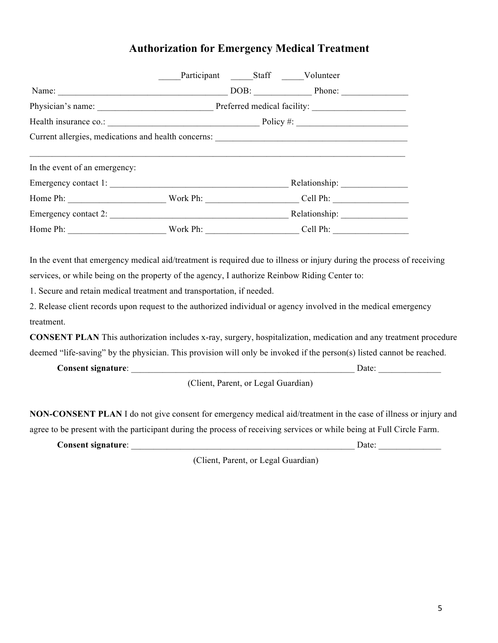# **Authorization for Emergency Medical Treatment**

| Name: Name: Name: Name: Name: Name: Name: Name: Name: Name: Name: Name: Name: Name: Name: Name: Name: Name: Name: Name: Name: Name: Name: Name: Name: Name: Name: Name: Name: Name: Name: Name: Name: Name: Name: Name: Name: |                                     |                                                                                                                                                                                                                                                                                                                                                                                                                                                                                               |
|-------------------------------------------------------------------------------------------------------------------------------------------------------------------------------------------------------------------------------|-------------------------------------|-----------------------------------------------------------------------------------------------------------------------------------------------------------------------------------------------------------------------------------------------------------------------------------------------------------------------------------------------------------------------------------------------------------------------------------------------------------------------------------------------|
|                                                                                                                                                                                                                               |                                     |                                                                                                                                                                                                                                                                                                                                                                                                                                                                                               |
|                                                                                                                                                                                                                               |                                     |                                                                                                                                                                                                                                                                                                                                                                                                                                                                                               |
|                                                                                                                                                                                                                               |                                     |                                                                                                                                                                                                                                                                                                                                                                                                                                                                                               |
|                                                                                                                                                                                                                               |                                     |                                                                                                                                                                                                                                                                                                                                                                                                                                                                                               |
| In the event of an emergency:                                                                                                                                                                                                 |                                     | ,我们也不会有一个人的事情。""我们的人,我们也不会有一个人的人,我们也不会有一个人的人,我们也不会有一个人的人,我们也不会有一个人的人,我们也不会有一个人的人                                                                                                                                                                                                                                                                                                                                                                                                              |
|                                                                                                                                                                                                                               |                                     |                                                                                                                                                                                                                                                                                                                                                                                                                                                                                               |
|                                                                                                                                                                                                                               |                                     |                                                                                                                                                                                                                                                                                                                                                                                                                                                                                               |
|                                                                                                                                                                                                                               |                                     |                                                                                                                                                                                                                                                                                                                                                                                                                                                                                               |
|                                                                                                                                                                                                                               |                                     |                                                                                                                                                                                                                                                                                                                                                                                                                                                                                               |
| services, or while being on the property of the agency, I authorize Reinbow Riding Center to:<br>1. Secure and retain medical treatment and transportation, if needed.<br>treatment.                                          |                                     | In the event that emergency medical aid/treatment is required due to illness or injury during the process of receiving<br>2. Release client records upon request to the authorized individual or agency involved in the medical emergency<br><b>CONSENT PLAN</b> This authorization includes x-ray, surgery, hospitalization, medication and any treatment procedure<br>deemed "life-saving" by the physician. This provision will only be invoked if the person(s) listed cannot be reached. |
|                                                                                                                                                                                                                               | (Client, Parent, or Legal Guardian) |                                                                                                                                                                                                                                                                                                                                                                                                                                                                                               |
|                                                                                                                                                                                                                               |                                     |                                                                                                                                                                                                                                                                                                                                                                                                                                                                                               |
|                                                                                                                                                                                                                               |                                     | NON-CONSENT PLAN I do not give consent for emergency medical aid/treatment in the case of illness or injury and                                                                                                                                                                                                                                                                                                                                                                               |

agree to be present with the participant during the process of receiving services or while being at Full Circle Farm.

| <b>Consent signature:</b> |
|---------------------------|
|                           |

**Consent signature**: \_\_\_\_\_\_\_\_\_\_\_\_\_\_\_\_\_\_\_\_\_\_\_\_\_\_\_\_\_\_\_\_\_\_\_\_\_\_\_\_\_\_\_\_\_\_\_\_\_\_ Date: \_\_\_\_\_\_\_\_\_\_\_\_\_\_

(Client, Parent, or Legal Guardian)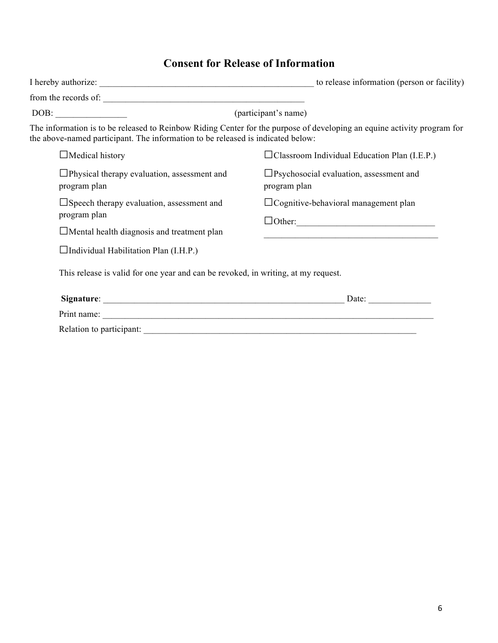# **Consent for Release of Information**

|                                                                                   | to release information (person or facility)                                                                             |
|-----------------------------------------------------------------------------------|-------------------------------------------------------------------------------------------------------------------------|
|                                                                                   |                                                                                                                         |
|                                                                                   | (participant's name)                                                                                                    |
| the above-named participant. The information to be released is indicated below:   | The information is to be released to Reinbow Riding Center for the purpose of developing an equine activity program for |
| $\Box$ Medical history                                                            | $\Box$ Classroom Individual Education Plan (I.E.P.)                                                                     |
| $\Box$ Physical therapy evaluation, assessment and<br>program plan                | $\Box$ Psychosocial evaluation, assessment and<br>program plan                                                          |
| $\square$ Speech therapy evaluation, assessment and<br>program plan               | $\Box$ Cognitive-behavioral management plan                                                                             |
| $\Box$ Mental health diagnosis and treatment plan                                 | <u> 1980 - Jan Barbara, martxa al II-lea (h. 1980).</u>                                                                 |
| $\Box$ Individual Habilitation Plan (I.H.P.)                                      |                                                                                                                         |
| This release is valid for one year and can be revoked, in writing, at my request. |                                                                                                                         |
|                                                                                   | Date:                                                                                                                   |
| Print name:                                                                       |                                                                                                                         |
|                                                                                   |                                                                                                                         |
|                                                                                   |                                                                                                                         |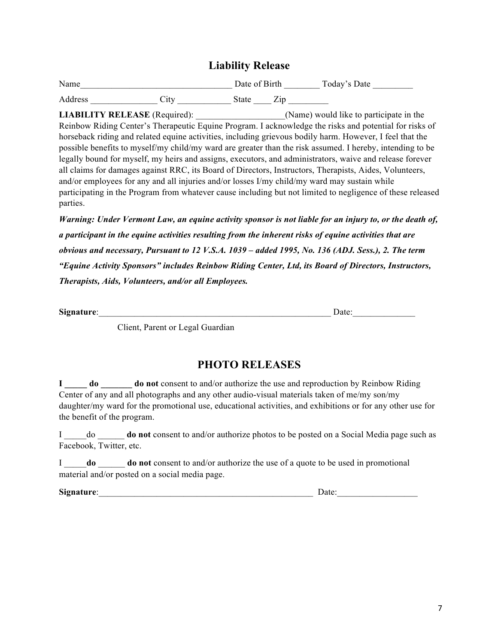### **Liability Release**

| Name    |      | Date of Birth        | Today's Date |
|---------|------|----------------------|--------------|
| Address | City | State<br>$\angle$ ip |              |

**LIABILITY RELEASE** (Required):  $\qquad \qquad$  (Name) would like to participate in the Reinbow Riding Center's Therapeutic Equine Program. I acknowledge the risks and potential for risks of horseback riding and related equine activities, including grievous bodily harm. However, I feel that the possible benefits to myself/my child/my ward are greater than the risk assumed. I hereby, intending to be legally bound for myself, my heirs and assigns, executors, and administrators, waive and release forever all claims for damages against RRC, its Board of Directors, Instructors, Therapists, Aides, Volunteers, and/or employees for any and all injuries and/or losses I/my child/my ward may sustain while participating in the Program from whatever cause including but not limited to negligence of these released parties.

*Warning: Under Vermont Law, an equine activity sponsor is not liable for an injury to, or the death of, a participant in the equine activities resulting from the inherent risks of equine activities that are obvious and necessary, Pursuant to 12 V.S.A. 1039 – added 1995, No. 136 (ADJ. Sess.), 2. The term "Equine Activity Sponsors" includes Reinbow Riding Center, Ltd, its Board of Directors, Instructors, Therapists, Aids, Volunteers, and/or all Employees.*

**Signature:** The contract of the contract of the contract of the contract of the contract of the contract of the contract of the contract of the contract of the contract of the contract of the contract of the contract of t

Client, Parent or Legal Guardian

# **PHOTO RELEASES**

**I do do not** consent to and/or authorize the use and reproduction by Reinbow Riding Center of any and all photographs and any other audio-visual materials taken of me/my son/my daughter/my ward for the promotional use, educational activities, and exhibitions or for any other use for the benefit of the program.

I do **do not** consent to and/or authorize photos to be posted on a Social Media page such as Facebook, Twitter, etc.

I **do do not** consent to and/or authorize the use of a quote to be used in promotional material and/or posted on a social media page.

**Signature:** The contract of the contract of the contract of the contract of the contract of the contract of the contract of the contract of the contract of the contract of the contract of the contract of the contract of t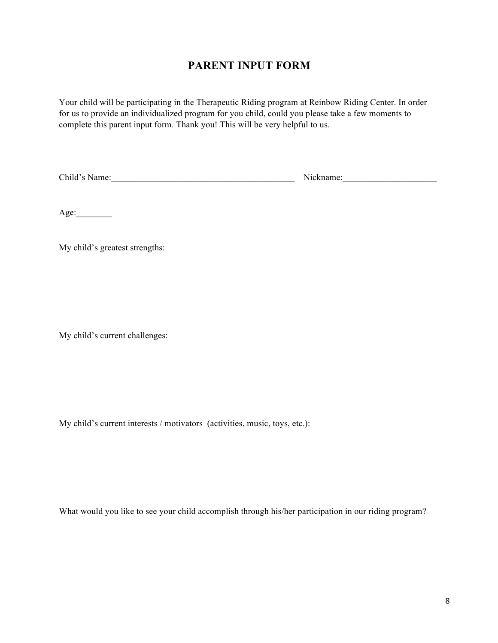# **PARENT INPUT FORM**

Your child will be participating in the Therapeutic Riding program at Reinbow Riding Center. In order for us to provide an individualized program for you child, could you please take a few moments to complete this parent input form. Thank you! This will be very helpful to us.

Child's Name:\_\_\_\_\_\_\_\_\_\_\_\_\_\_\_\_\_\_\_\_\_\_\_\_\_\_\_\_\_\_\_\_\_\_\_\_\_\_\_\_\_ Nickname:\_\_\_\_\_\_\_\_\_\_\_\_\_\_\_\_\_\_\_\_\_

 $Age:$ 

My child's greatest strengths:

My child's current challenges:

My child's current interests / motivators (activities, music, toys, etc.):

What would you like to see your child accomplish through his/her participation in our riding program?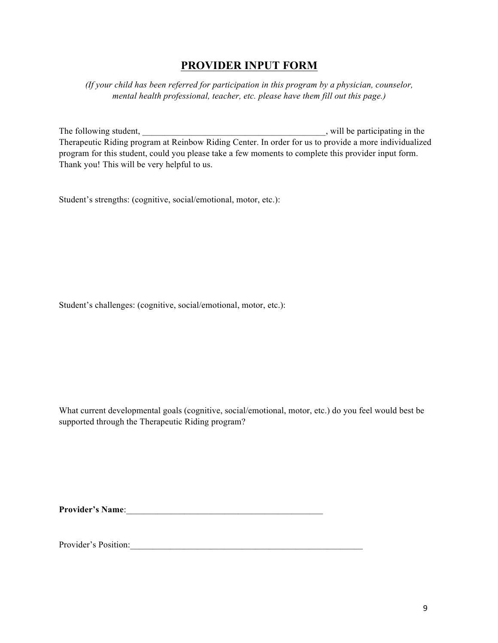## **PROVIDER INPUT FORM**

*(If your child has been referred for participation in this program by a physician, counselor, mental health professional, teacher, etc. please have them fill out this page.)*

The following student, \_\_\_\_\_\_\_\_\_\_\_\_\_\_\_\_\_\_\_\_\_\_\_\_\_\_\_\_\_\_\_\_\_\_\_\_\_\_\_\_\_, will be participating in the Therapeutic Riding program at Reinbow Riding Center. In order for us to provide a more individualized program for this student, could you please take a few moments to complete this provider input form. Thank you! This will be very helpful to us.

Student's strengths: (cognitive, social/emotional, motor, etc.):

Student's challenges: (cognitive, social/emotional, motor, etc.):

What current developmental goals (cognitive, social/emotional, motor, etc.) do you feel would best be supported through the Therapeutic Riding program?

Provider's Name:

Provider's Position: